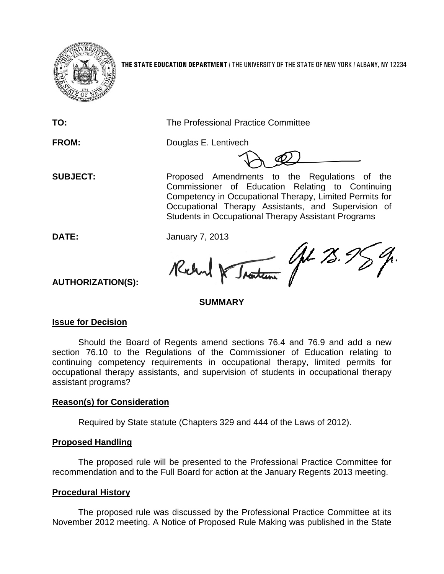

**THE STATE EDUCATION DEPARTMENT** / THE UNIVERSITY OF THE STATE OF NEW YORK / ALBANY, NY 12234

**TO:** The Professional Practice Committee

**FROM:** Douglas E. Lentivech

**SUBJECT:** Proposed Amendments to the Regulations of the Commissioner of Education Relating to Continuing Competency in Occupational Therapy, Limited Permits for Occupational Therapy Assistants, and Supervision of Students in Occupational Therapy Assistant Programs

**DATE:** January 7, 2013

Uph 75. 9 Traiten Richard

**AUTHORIZATION(S):**

# **SUMMARY**

# **Issue for Decision**

Should the Board of Regents amend sections 76.4 and 76.9 and add a new section 76.10 to the Regulations of the Commissioner of Education relating to continuing competency requirements in occupational therapy, limited permits for occupational therapy assistants, and supervision of students in occupational therapy assistant programs?

# **Reason(s) for Consideration**

Required by State statute (Chapters 329 and 444 of the Laws of 2012).

# **Proposed Handling**

The proposed rule will be presented to the Professional Practice Committee for recommendation and to the Full Board for action at the January Regents 2013 meeting.

# **Procedural History**

The proposed rule was discussed by the Professional Practice Committee at its November 2012 meeting. A Notice of Proposed Rule Making was published in the State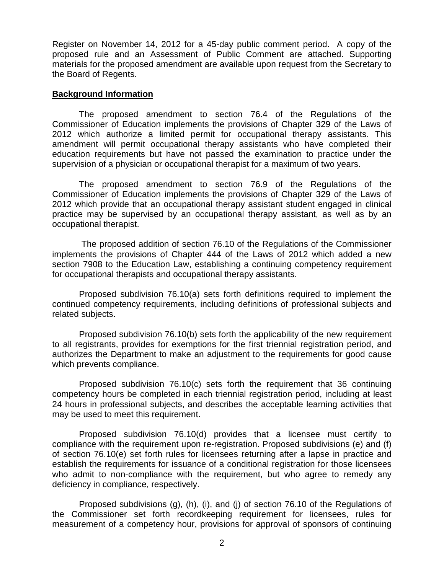Register on November 14, 2012 for a 45-day public comment period. A copy of the proposed rule and an Assessment of Public Comment are attached. Supporting materials for the proposed amendment are available upon request from the Secretary to the Board of Regents.

## **Background Information**

The proposed amendment to section 76.4 of the Regulations of the Commissioner of Education implements the provisions of Chapter 329 of the Laws of 2012 which authorize a limited permit for occupational therapy assistants. This amendment will permit occupational therapy assistants who have completed their education requirements but have not passed the examination to practice under the supervision of a physician or occupational therapist for a maximum of two years.

The proposed amendment to section 76.9 of the Regulations of the Commissioner of Education implements the provisions of Chapter 329 of the Laws of 2012 which provide that an occupational therapy assistant student engaged in clinical practice may be supervised by an occupational therapy assistant, as well as by an occupational therapist.

The proposed addition of section 76.10 of the Regulations of the Commissioner implements the provisions of Chapter 444 of the Laws of 2012 which added a new section 7908 to the Education Law, establishing a continuing competency requirement for occupational therapists and occupational therapy assistants.

Proposed subdivision 76.10(a) sets forth definitions required to implement the continued competency requirements, including definitions of professional subjects and related subjects.

Proposed subdivision 76.10(b) sets forth the applicability of the new requirement to all registrants, provides for exemptions for the first triennial registration period, and authorizes the Department to make an adjustment to the requirements for good cause which prevents compliance.

Proposed subdivision 76.10(c) sets forth the requirement that 36 continuing competency hours be completed in each triennial registration period, including at least 24 hours in professional subjects, and describes the acceptable learning activities that may be used to meet this requirement.

Proposed subdivision 76.10(d) provides that a licensee must certify to compliance with the requirement upon re-registration. Proposed subdivisions (e) and (f) of section 76.10(e) set forth rules for licensees returning after a lapse in practice and establish the requirements for issuance of a conditional registration for those licensees who admit to non-compliance with the requirement, but who agree to remedy any deficiency in compliance, respectively.

Proposed subdivisions (g), (h), (i), and (j) of section 76.10 of the Regulations of the Commissioner set forth recordkeeping requirement for licensees, rules for measurement of a competency hour, provisions for approval of sponsors of continuing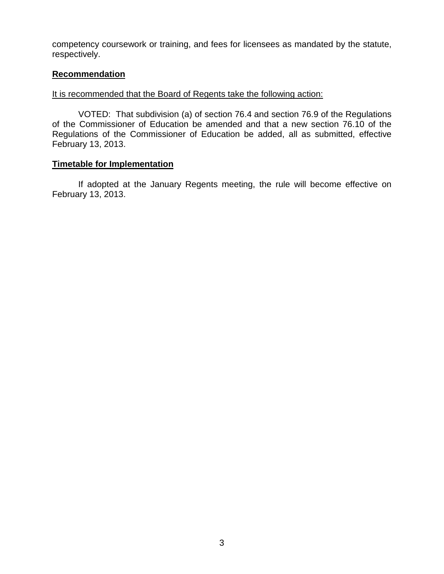competency coursework or training, and fees for licensees as mandated by the statute, respectively.

## **Recommendation**

## It is recommended that the Board of Regents take the following action:

VOTED: That subdivision (a) of section 76.4 and section 76.9 of the Regulations of the Commissioner of Education be amended and that a new section 76.10 of the Regulations of the Commissioner of Education be added, all as submitted, effective February 13, 2013.

## **Timetable for Implementation**

If adopted at the January Regents meeting, the rule will become effective on February 13, 2013.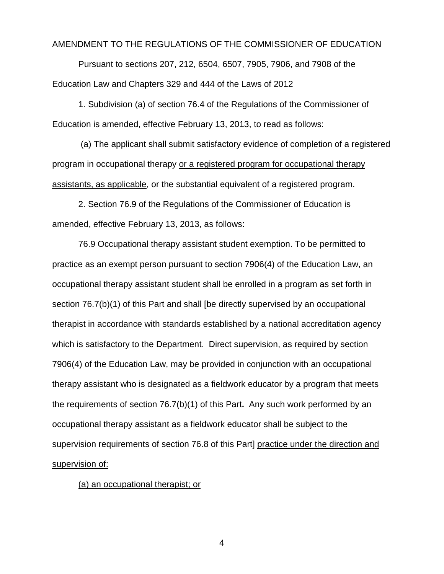## AMENDMENT TO THE REGULATIONS OF THE COMMISSIONER OF EDUCATION

Pursuant to sections 207, 212, 6504, 6507, 7905, 7906, and 7908 of the Education Law and Chapters 329 and 444 of the Laws of 2012

1. Subdivision (a) of section 76.4 of the Regulations of the Commissioner of Education is amended, effective February 13, 2013, to read as follows:

(a) The applicant shall submit satisfactory evidence of completion of a registered program in occupational therapy or a registered program for occupational therapy assistants, as applicable, or the substantial equivalent of a registered program.

2. Section 76.9 of the Regulations of the Commissioner of Education is amended, effective February 13, 2013, as follows:

76.9 Occupational therapy assistant student exemption. To be permitted to practice as an exempt person pursuant to section 7906(4) of the Education Law, an occupational therapy assistant student shall be enrolled in a program as set forth in section 76.7(b)(1) of this Part and shall [be directly supervised by an occupational therapist in accordance with standards established by a national accreditation agency which is satisfactory to the Department. Direct supervision, as required by section 7906(4) of the Education Law, may be provided in conjunction with an occupational therapy assistant who is designated as a fieldwork educator by a program that meets the requirements of section 76.7(b)(1) of this Part**.** Any such work performed by an occupational therapy assistant as a fieldwork educator shall be subject to the supervision requirements of section 76.8 of this Part] practice under the direction and supervision of:

(a) an occupational therapist; or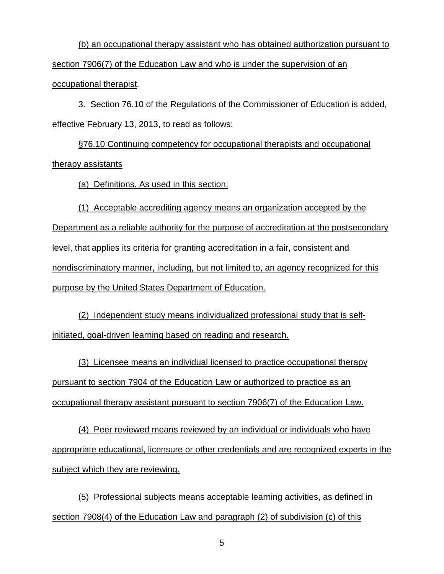(b) an occupational therapy assistant who has obtained authorization pursuant to section 7906(7) of the Education Law and who is under the supervision of an occupational therapist.

3. Section 76.10 of the Regulations of the Commissioner of Education is added, effective February 13, 2013, to read as follows:

§76.10 Continuing competency for occupational therapists and occupational therapy assistants

(a) Definitions. As used in this section:

(1) Acceptable accrediting agency means an organization accepted by the Department as a reliable authority for the purpose of accreditation at the postsecondary level, that applies its criteria for granting accreditation in a fair, consistent and nondiscriminatory manner, including, but not limited to, an agency recognized for this purpose by the United States Department of Education.

(2) Independent study means individualized professional study that is selfinitiated, goal-driven learning based on reading and research.

(3) Licensee means an individual licensed to practice occupational therapy pursuant to section 7904 of the Education Law or authorized to practice as an occupational therapy assistant pursuant to section 7906(7) of the Education Law.

(4) Peer reviewed means reviewed by an individual or individuals who have appropriate educational, licensure or other credentials and are recognized experts in the subject which they are reviewing.

(5) Professional subjects means acceptable learning activities, as defined in section 7908(4) of the Education Law and paragraph (2) of subdivision (c) of this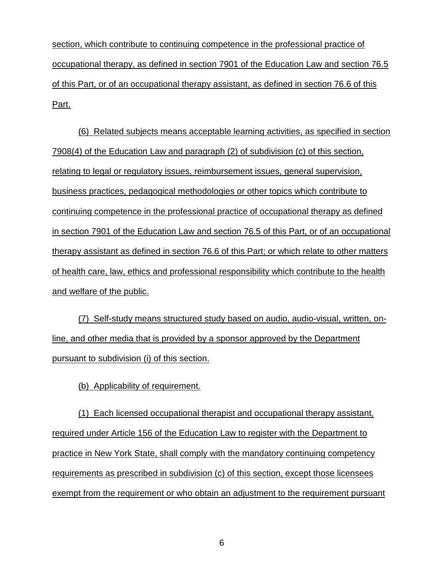section, which contribute to continuing competence in the professional practice of occupational therapy, as defined in section 7901 of the Education Law and section 76.5 of this Part, or of an occupational therapy assistant, as defined in section 76.6 of this Part.

(6) Related subjects means acceptable learning activities, as specified in section 7908(4) of the Education Law and paragraph (2) of subdivision (c) of this section, relating to legal or regulatory issues, reimbursement issues, general supervision, business practices, pedagogical methodologies or other topics which contribute to continuing competence in the professional practice of occupational therapy as defined in section 7901 of the Education Law and section 76.5 of this Part, or of an occupational therapy assistant as defined in section 76.6 of this Part; or which relate to other matters of health care, law, ethics and professional responsibility which contribute to the health and welfare of the public.

(7) Self-study means structured study based on audio, audio-visual, written, online, and other media that is provided by a sponsor approved by the Department pursuant to subdivision (i) of this section.

(b) Applicability of requirement.

(1) Each licensed occupational therapist and occupational therapy assistant, required under Article 156 of the Education Law to register with the Department to practice in New York State, shall comply with the mandatory continuing competency requirements as prescribed in subdivision (c) of this section, except those licensees exempt from the requirement or who obtain an adjustment to the requirement pursuant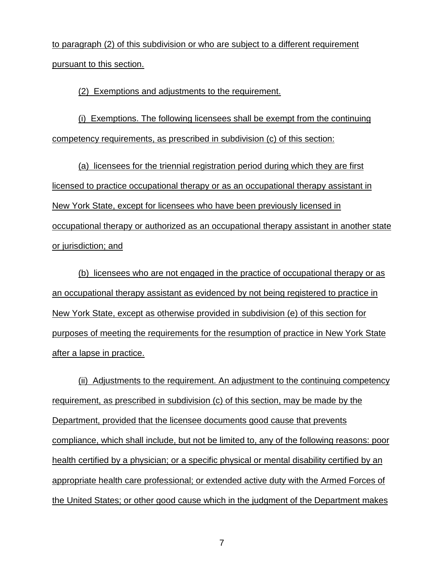to paragraph (2) of this subdivision or who are subject to a different requirement pursuant to this section.

(2) Exemptions and adjustments to the requirement.

(i) Exemptions. The following licensees shall be exempt from the continuing competency requirements, as prescribed in subdivision (c) of this section:

(a) licensees for the triennial registration period during which they are first licensed to practice occupational therapy or as an occupational therapy assistant in New York State, except for licensees who have been previously licensed in occupational therapy or authorized as an occupational therapy assistant in another state or jurisdiction; and

(b) licensees who are not engaged in the practice of occupational therapy or as an occupational therapy assistant as evidenced by not being registered to practice in New York State, except as otherwise provided in subdivision (e) of this section for purposes of meeting the requirements for the resumption of practice in New York State after a lapse in practice.

(ii) Adjustments to the requirement. An adjustment to the continuing competency requirement, as prescribed in subdivision (c) of this section, may be made by the Department, provided that the licensee documents good cause that prevents compliance, which shall include, but not be limited to, any of the following reasons: poor health certified by a physician; or a specific physical or mental disability certified by an appropriate health care professional; or extended active duty with the Armed Forces of the United States; or other good cause which in the judgment of the Department makes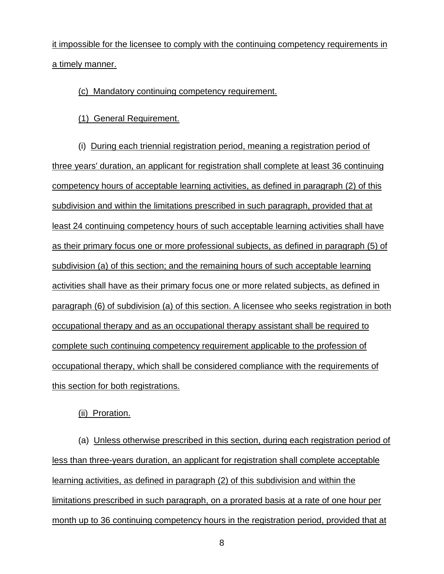it impossible for the licensee to comply with the continuing competency requirements in a timely manner.

## (c) Mandatory continuing competency requirement.

(1) General Requirement.

(i) During each triennial registration period, meaning a registration period of three years' duration, an applicant for registration shall complete at least 36 continuing competency hours of acceptable learning activities, as defined in paragraph (2) of this subdivision and within the limitations prescribed in such paragraph, provided that at least 24 continuing competency hours of such acceptable learning activities shall have as their primary focus one or more professional subjects, as defined in paragraph (5) of subdivision (a) of this section; and the remaining hours of such acceptable learning activities shall have as their primary focus one or more related subjects, as defined in paragraph (6) of subdivision (a) of this section. A licensee who seeks registration in both occupational therapy and as an occupational therapy assistant shall be required to complete such continuing competency requirement applicable to the profession of occupational therapy, which shall be considered compliance with the requirements of this section for both registrations.

(ii) Proration.

(a) Unless otherwise prescribed in this section, during each registration period of less than three-years duration, an applicant for registration shall complete acceptable learning activities, as defined in paragraph (2) of this subdivision and within the limitations prescribed in such paragraph, on a prorated basis at a rate of one hour per month up to 36 continuing competency hours in the registration period, provided that at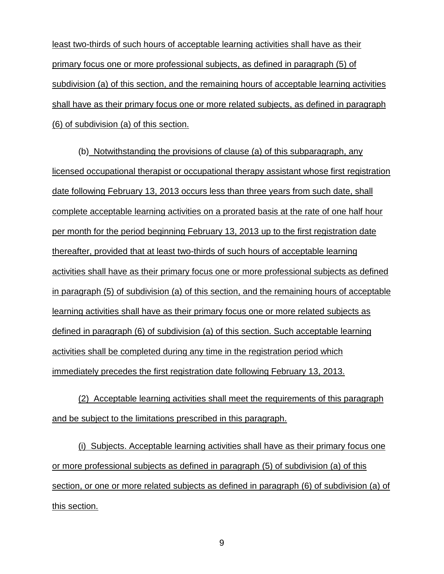least two-thirds of such hours of acceptable learning activities shall have as their primary focus one or more professional subjects, as defined in paragraph (5) of subdivision (a) of this section, and the remaining hours of acceptable learning activities shall have as their primary focus one or more related subjects, as defined in paragraph (6) of subdivision (a) of this section.

(b) Notwithstanding the provisions of clause (a) of this subparagraph, any licensed occupational therapist or occupational therapy assistant whose first registration date following February 13, 2013 occurs less than three years from such date, shall complete acceptable learning activities on a prorated basis at the rate of one half hour per month for the period beginning February 13, 2013 up to the first registration date thereafter, provided that at least two-thirds of such hours of acceptable learning activities shall have as their primary focus one or more professional subjects as defined in paragraph (5) of subdivision (a) of this section, and the remaining hours of acceptable learning activities shall have as their primary focus one or more related subjects as defined in paragraph (6) of subdivision (a) of this section. Such acceptable learning activities shall be completed during any time in the registration period which immediately precedes the first registration date following February 13, 2013.

(2) Acceptable learning activities shall meet the requirements of this paragraph and be subject to the limitations prescribed in this paragraph.

(i) Subjects. Acceptable learning activities shall have as their primary focus one or more professional subjects as defined in paragraph (5) of subdivision (a) of this section, or one or more related subjects as defined in paragraph (6) of subdivision (a) of this section.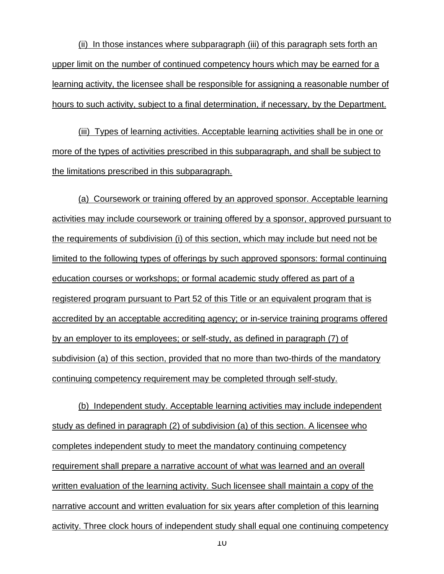(ii) In those instances where subparagraph (iii) of this paragraph sets forth an upper limit on the number of continued competency hours which may be earned for a learning activity, the licensee shall be responsible for assigning a reasonable number of hours to such activity, subject to a final determination, if necessary, by the Department.

(iii) Types of learning activities. Acceptable learning activities shall be in one or more of the types of activities prescribed in this subparagraph, and shall be subject to the limitations prescribed in this subparagraph.

(a) Coursework or training offered by an approved sponsor. Acceptable learning activities may include coursework or training offered by a sponsor, approved pursuant to the requirements of subdivision (i) of this section, which may include but need not be limited to the following types of offerings by such approved sponsors: formal continuing education courses or workshops; or formal academic study offered as part of a registered program pursuant to Part 52 of this Title or an equivalent program that is accredited by an acceptable accrediting agency; or in-service training programs offered by an employer to its employees; or self-study, as defined in paragraph (7) of subdivision (a) of this section, provided that no more than two-thirds of the mandatory continuing competency requirement may be completed through self-study.

(b) Independent study. Acceptable learning activities may include independent study as defined in paragraph (2) of subdivision (a) of this section. A licensee who completes independent study to meet the mandatory continuing competency requirement shall prepare a narrative account of what was learned and an overall written evaluation of the learning activity. Such licensee shall maintain a copy of the narrative account and written evaluation for six years after completion of this learning activity. Three clock hours of independent study shall equal one continuing competency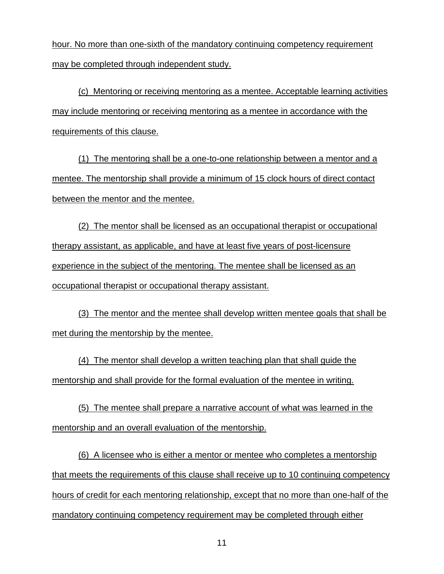hour. No more than one-sixth of the mandatory continuing competency requirement may be completed through independent study.

(c) Mentoring or receiving mentoring as a mentee. Acceptable learning activities may include mentoring or receiving mentoring as a mentee in accordance with the requirements of this clause.

(1) The mentoring shall be a one-to-one relationship between a mentor and a mentee. The mentorship shall provide a minimum of 15 clock hours of direct contact between the mentor and the mentee.

(2) The mentor shall be licensed as an occupational therapist or occupational therapy assistant, as applicable, and have at least five years of post-licensure experience in the subject of the mentoring. The mentee shall be licensed as an occupational therapist or occupational therapy assistant.

(3) The mentor and the mentee shall develop written mentee goals that shall be met during the mentorship by the mentee.

(4) The mentor shall develop a written teaching plan that shall guide the mentorship and shall provide for the formal evaluation of the mentee in writing.

(5) The mentee shall prepare a narrative account of what was learned in the mentorship and an overall evaluation of the mentorship.

(6) A licensee who is either a mentor or mentee who completes a mentorship that meets the requirements of this clause shall receive up to 10 continuing competency hours of credit for each mentoring relationship, except that no more than one-half of the mandatory continuing competency requirement may be completed through either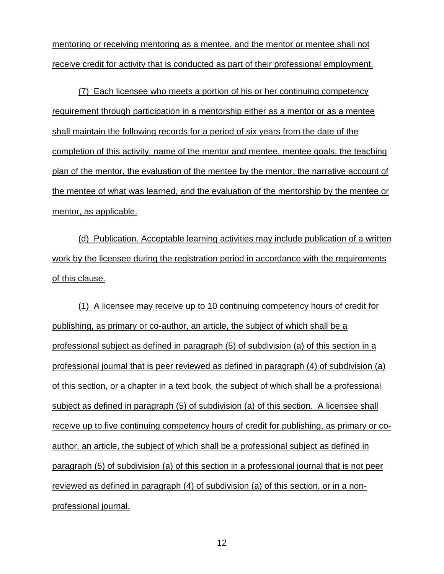mentoring or receiving mentoring as a mentee, and the mentor or mentee shall not receive credit for activity that is conducted as part of their professional employment.

(7) Each licensee who meets a portion of his or her continuing competency requirement through participation in a mentorship either as a mentor or as a mentee shall maintain the following records for a period of six years from the date of the completion of this activity: name of the mentor and mentee, mentee goals, the teaching plan of the mentor, the evaluation of the mentee by the mentor, the narrative account of the mentee of what was learned, and the evaluation of the mentorship by the mentee or mentor, as applicable.

(d) Publication. Acceptable learning activities may include publication of a written work by the licensee during the registration period in accordance with the requirements of this clause.

(1) A licensee may receive up to 10 continuing competency hours of credit for publishing, as primary or co-author, an article, the subject of which shall be a professional subject as defined in paragraph (5) of subdivision (a) of this section in a professional journal that is peer reviewed as defined in paragraph (4) of subdivision (a) of this section, or a chapter in a text book, the subject of which shall be a professional subject as defined in paragraph (5) of subdivision (a) of this section. A licensee shall receive up to five continuing competency hours of credit for publishing, as primary or coauthor, an article, the subject of which shall be a professional subject as defined in paragraph (5) of subdivision (a) of this section in a professional journal that is not peer reviewed as defined in paragraph (4) of subdivision (a) of this section, or in a nonprofessional journal.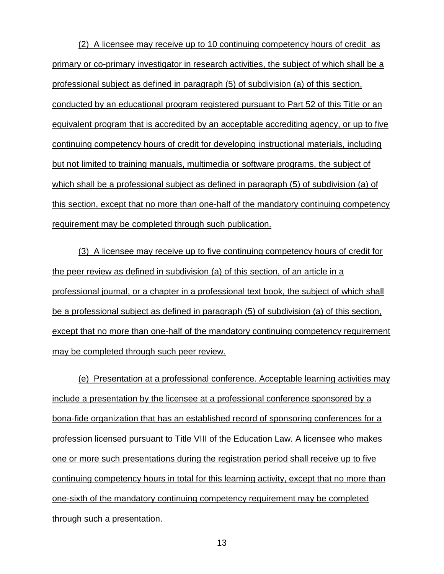(2) A licensee may receive up to 10 continuing competency hours of credit as primary or co-primary investigator in research activities, the subject of which shall be a professional subject as defined in paragraph (5) of subdivision (a) of this section, conducted by an educational program registered pursuant to Part 52 of this Title or an equivalent program that is accredited by an acceptable accrediting agency, or up to five continuing competency hours of credit for developing instructional materials, including but not limited to training manuals, multimedia or software programs, the subject of which shall be a professional subject as defined in paragraph (5) of subdivision (a) of this section, except that no more than one-half of the mandatory continuing competency requirement may be completed through such publication.

(3) A licensee may receive up to five continuing competency hours of credit for the peer review as defined in subdivision (a) of this section, of an article in a professional journal, or a chapter in a professional text book, the subject of which shall be a professional subject as defined in paragraph (5) of subdivision (a) of this section, except that no more than one-half of the mandatory continuing competency requirement may be completed through such peer review.

(e) Presentation at a professional conference. Acceptable learning activities may include a presentation by the licensee at a professional conference sponsored by a bona-fide organization that has an established record of sponsoring conferences for a profession licensed pursuant to Title VIII of the Education Law. A licensee who makes one or more such presentations during the registration period shall receive up to five continuing competency hours in total for this learning activity, except that no more than one-sixth of the mandatory continuing competency requirement may be completed through such a presentation.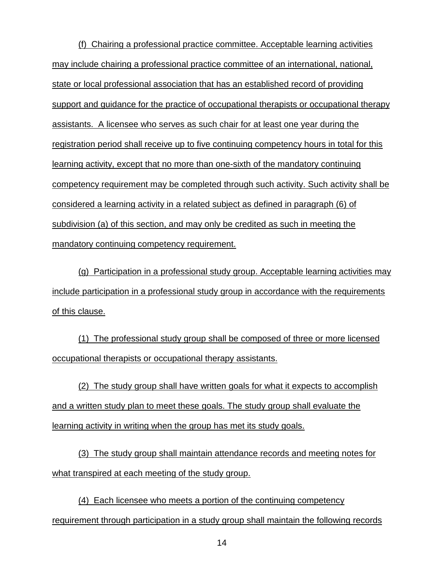(f) Chairing a professional practice committee. Acceptable learning activities may include chairing a professional practice committee of an international, national, state or local professional association that has an established record of providing support and guidance for the practice of occupational therapists or occupational therapy assistants. A licensee who serves as such chair for at least one year during the registration period shall receive up to five continuing competency hours in total for this learning activity, except that no more than one-sixth of the mandatory continuing competency requirement may be completed through such activity. Such activity shall be considered a learning activity in a related subject as defined in paragraph (6) of subdivision (a) of this section, and may only be credited as such in meeting the mandatory continuing competency requirement.

(g) Participation in a professional study group. Acceptable learning activities may include participation in a professional study group in accordance with the requirements of this clause.

(1) The professional study group shall be composed of three or more licensed occupational therapists or occupational therapy assistants.

(2) The study group shall have written goals for what it expects to accomplish and a written study plan to meet these goals. The study group shall evaluate the learning activity in writing when the group has met its study goals.

(3) The study group shall maintain attendance records and meeting notes for what transpired at each meeting of the study group.

(4) Each licensee who meets a portion of the continuing competency requirement through participation in a study group shall maintain the following records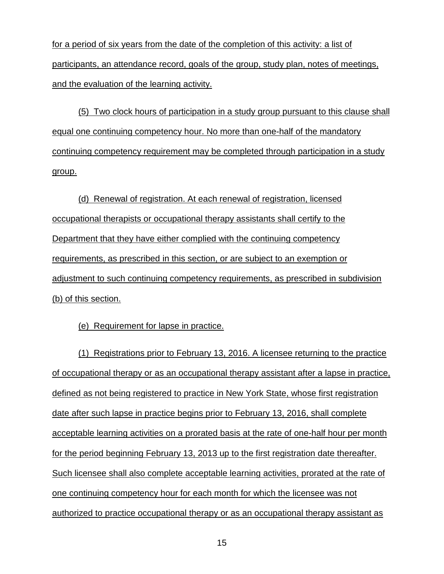for a period of six years from the date of the completion of this activity: a list of participants, an attendance record, goals of the group, study plan, notes of meetings, and the evaluation of the learning activity.

(5) Two clock hours of participation in a study group pursuant to this clause shall equal one continuing competency hour. No more than one-half of the mandatory continuing competency requirement may be completed through participation in a study group.

(d) Renewal of registration. At each renewal of registration, licensed occupational therapists or occupational therapy assistants shall certify to the Department that they have either complied with the continuing competency requirements, as prescribed in this section, or are subject to an exemption or adjustment to such continuing competency requirements, as prescribed in subdivision (b) of this section.

## (e) Requirement for lapse in practice.

(1) Registrations prior to February 13, 2016. A licensee returning to the practice of occupational therapy or as an occupational therapy assistant after a lapse in practice, defined as not being registered to practice in New York State, whose first registration date after such lapse in practice begins prior to February 13, 2016, shall complete acceptable learning activities on a prorated basis at the rate of one-half hour per month for the period beginning February 13, 2013 up to the first registration date thereafter. Such licensee shall also complete acceptable learning activities, prorated at the rate of one continuing competency hour for each month for which the licensee was not authorized to practice occupational therapy or as an occupational therapy assistant as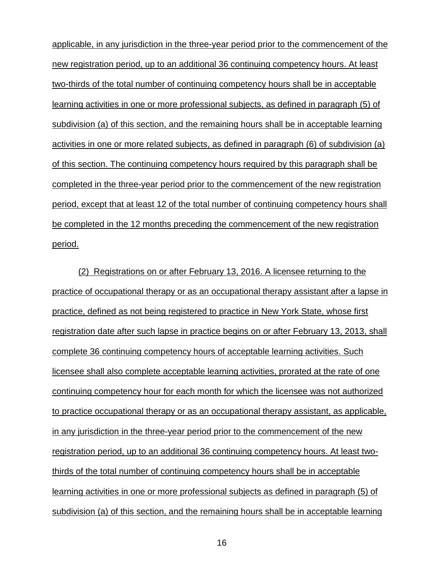applicable, in any jurisdiction in the three-year period prior to the commencement of the new registration period, up to an additional 36 continuing competency hours. At least two-thirds of the total number of continuing competency hours shall be in acceptable learning activities in one or more professional subjects, as defined in paragraph (5) of subdivision (a) of this section, and the remaining hours shall be in acceptable learning activities in one or more related subjects, as defined in paragraph (6) of subdivision (a) of this section. The continuing competency hours required by this paragraph shall be completed in the three-year period prior to the commencement of the new registration period, except that at least 12 of the total number of continuing competency hours shall be completed in the 12 months preceding the commencement of the new registration period.

(2) Registrations on or after February 13, 2016. A licensee returning to the practice of occupational therapy or as an occupational therapy assistant after a lapse in practice, defined as not being registered to practice in New York State, whose first registration date after such lapse in practice begins on or after February 13, 2013, shall complete 36 continuing competency hours of acceptable learning activities. Such licensee shall also complete acceptable learning activities, prorated at the rate of one continuing competency hour for each month for which the licensee was not authorized to practice occupational therapy or as an occupational therapy assistant, as applicable, in any jurisdiction in the three-year period prior to the commencement of the new registration period, up to an additional 36 continuing competency hours. At least twothirds of the total number of continuing competency hours shall be in acceptable learning activities in one or more professional subjects as defined in paragraph (5) of subdivision (a) of this section, and the remaining hours shall be in acceptable learning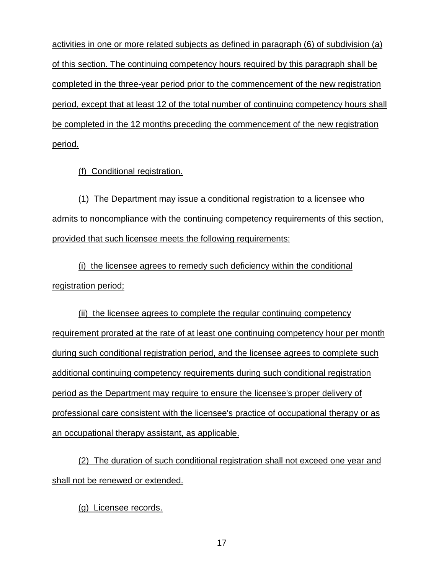activities in one or more related subjects as defined in paragraph (6) of subdivision (a) of this section. The continuing competency hours required by this paragraph shall be completed in the three-year period prior to the commencement of the new registration period, except that at least 12 of the total number of continuing competency hours shall be completed in the 12 months preceding the commencement of the new registration period.

(f) Conditional registration.

(1) The Department may issue a conditional registration to a licensee who admits to noncompliance with the continuing competency requirements of this section, provided that such licensee meets the following requirements:

(i) the licensee agrees to remedy such deficiency within the conditional registration period;

(ii) the licensee agrees to complete the regular continuing competency requirement prorated at the rate of at least one continuing competency hour per month during such conditional registration period, and the licensee agrees to complete such additional continuing competency requirements during such conditional registration period as the Department may require to ensure the licensee's proper delivery of professional care consistent with the licensee's practice of occupational therapy or as an occupational therapy assistant, as applicable.

(2) The duration of such conditional registration shall not exceed one year and shall not be renewed or extended.

(g) Licensee records.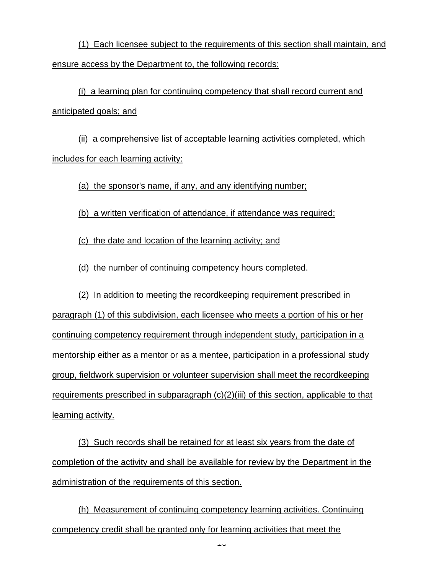(1) Each licensee subject to the requirements of this section shall maintain, and ensure access by the Department to, the following records:

(i) a learning plan for continuing competency that shall record current and anticipated goals; and

(ii) a comprehensive list of acceptable learning activities completed, which includes for each learning activity:

(a) the sponsor's name, if any, and any identifying number;

(b) a written verification of attendance, if attendance was required;

(c) the date and location of the learning activity; and

(d) the number of continuing competency hours completed.

(2) In addition to meeting the recordkeeping requirement prescribed in paragraph (1) of this subdivision, each licensee who meets a portion of his or her continuing competency requirement through independent study, participation in a mentorship either as a mentor or as a mentee, participation in a professional study group, fieldwork supervision or volunteer supervision shall meet the recordkeeping requirements prescribed in subparagraph (c)(2)(iii) of this section, applicable to that learning activity.

(3) Such records shall be retained for at least six years from the date of completion of the activity and shall be available for review by the Department in the administration of the requirements of this section.

(h) Measurement of continuing competency learning activities. Continuing competency credit shall be granted only for learning activities that meet the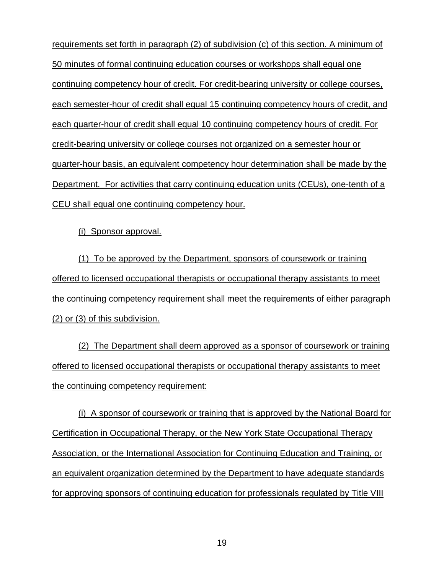requirements set forth in paragraph (2) of subdivision (c) of this section. A minimum of 50 minutes of formal continuing education courses or workshops shall equal one continuing competency hour of credit. For credit-bearing university or college courses, each semester-hour of credit shall equal 15 continuing competency hours of credit, and each quarter-hour of credit shall equal 10 continuing competency hours of credit. For credit-bearing university or college courses not organized on a semester hour or quarter-hour basis, an equivalent competency hour determination shall be made by the Department. For activities that carry continuing education units (CEUs), one-tenth of a CEU shall equal one continuing competency hour.

(i) Sponsor approval.

(1) To be approved by the Department, sponsors of coursework or training offered to licensed occupational therapists or occupational therapy assistants to meet the continuing competency requirement shall meet the requirements of either paragraph (2) or (3) of this subdivision.

(2) The Department shall deem approved as a sponsor of coursework or training offered to licensed occupational therapists or occupational therapy assistants to meet the continuing competency requirement:

(i) A sponsor of coursework or training that is approved by the National Board for Certification in Occupational Therapy, or the New York State Occupational Therapy Association, or the International Association for Continuing Education and Training, or an equivalent organization determined by the Department to have adequate standards for approving sponsors of continuing education for professionals regulated by Title VIII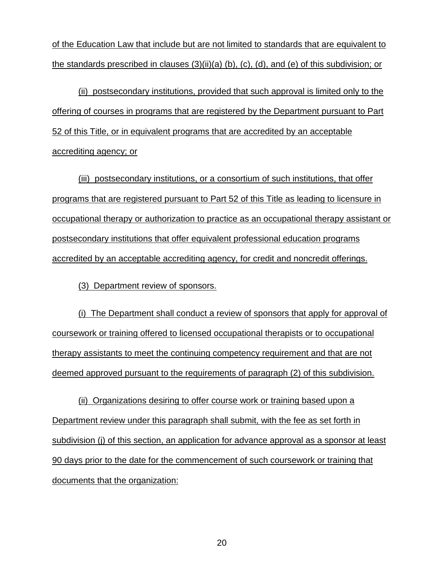of the Education Law that include but are not limited to standards that are equivalent to the standards prescribed in clauses (3)(ii)(a) (b), (c), (d), and (e) of this subdivision; or

(ii) postsecondary institutions, provided that such approval is limited only to the offering of courses in programs that are registered by the Department pursuant to Part 52 of this Title, or in equivalent programs that are accredited by an acceptable accrediting agency; or

(iii) postsecondary institutions, or a consortium of such institutions, that offer programs that are registered pursuant to Part 52 of this Title as leading to licensure in occupational therapy or authorization to practice as an occupational therapy assistant or postsecondary institutions that offer equivalent professional education programs accredited by an acceptable accrediting agency, for credit and noncredit offerings.

(3) Department review of sponsors.

(i) The Department shall conduct a review of sponsors that apply for approval of coursework or training offered to licensed occupational therapists or to occupational therapy assistants to meet the continuing competency requirement and that are not deemed approved pursuant to the requirements of paragraph (2) of this subdivision.

(ii) Organizations desiring to offer course work or training based upon a Department review under this paragraph shall submit, with the fee as set forth in subdivision (j) of this section, an application for advance approval as a sponsor at least 90 days prior to the date for the commencement of such coursework or training that documents that the organization: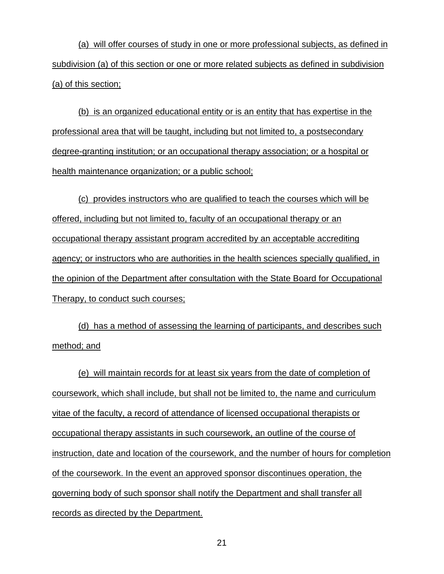(a) will offer courses of study in one or more professional subjects, as defined in subdivision (a) of this section or one or more related subjects as defined in subdivision (a) of this section;

(b) is an organized educational entity or is an entity that has expertise in the professional area that will be taught, including but not limited to, a postsecondary degree-granting institution; or an occupational therapy association; or a hospital or health maintenance organization; or a public school;

(c) provides instructors who are qualified to teach the courses which will be offered, including but not limited to, faculty of an occupational therapy or an occupational therapy assistant program accredited by an acceptable accrediting agency; or instructors who are authorities in the health sciences specially qualified, in the opinion of the Department after consultation with the State Board for Occupational Therapy, to conduct such courses;

(d) has a method of assessing the learning of participants, and describes such method; and

(e) will maintain records for at least six years from the date of completion of coursework, which shall include, but shall not be limited to, the name and curriculum vitae of the faculty, a record of attendance of licensed occupational therapists or occupational therapy assistants in such coursework, an outline of the course of instruction, date and location of the coursework, and the number of hours for completion of the coursework. In the event an approved sponsor discontinues operation, the governing body of such sponsor shall notify the Department and shall transfer all records as directed by the Department.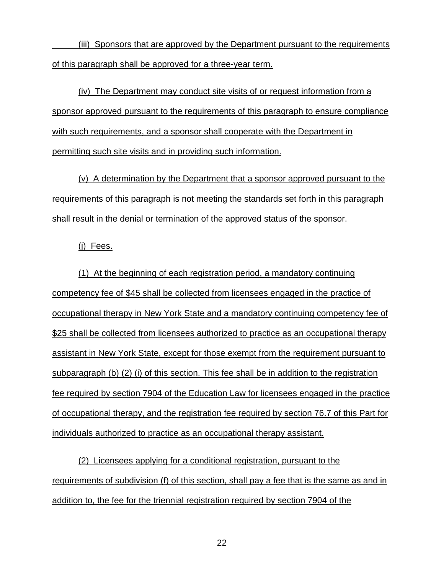(iii) Sponsors that are approved by the Department pursuant to the requirements of this paragraph shall be approved for a three-year term.

(iv) The Department may conduct site visits of or request information from a sponsor approved pursuant to the requirements of this paragraph to ensure compliance with such requirements, and a sponsor shall cooperate with the Department in permitting such site visits and in providing such information.

(v) A determination by the Department that a sponsor approved pursuant to the requirements of this paragraph is not meeting the standards set forth in this paragraph shall result in the denial or termination of the approved status of the sponsor.

(j) Fees.

(1) At the beginning of each registration period, a mandatory continuing competency fee of \$45 shall be collected from licensees engaged in the practice of occupational therapy in New York State and a mandatory continuing competency fee of \$25 shall be collected from licensees authorized to practice as an occupational therapy assistant in New York State, except for those exempt from the requirement pursuant to subparagraph (b) (2) (i) of this section. This fee shall be in addition to the registration fee required by section 7904 of the Education Law for licensees engaged in the practice of occupational therapy, and the registration fee required by section 76.7 of this Part for individuals authorized to practice as an occupational therapy assistant.

(2) Licensees applying for a conditional registration, pursuant to the requirements of subdivision (f) of this section, shall pay a fee that is the same as and in addition to, the fee for the triennial registration required by section 7904 of the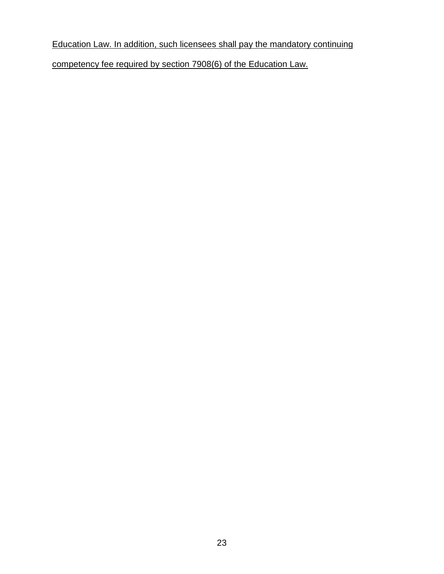# Education Law. In addition, such licensees shall pay the mandatory continuing

competency fee required by section 7908(6) of the Education Law.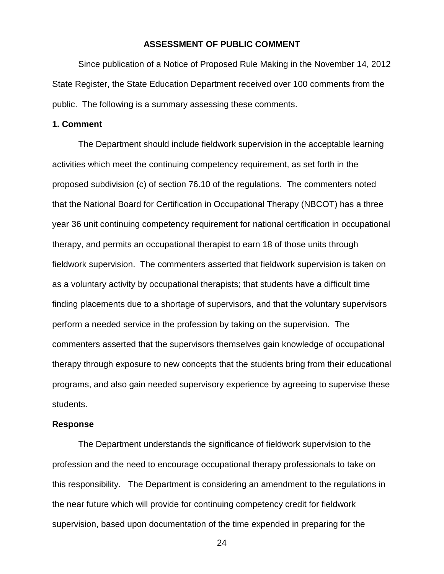### **ASSESSMENT OF PUBLIC COMMENT**

Since publication of a Notice of Proposed Rule Making in the November 14, 2012 State Register, the State Education Department received over 100 comments from the public. The following is a summary assessing these comments.

### **1. Comment**

The Department should include fieldwork supervision in the acceptable learning activities which meet the continuing competency requirement, as set forth in the proposed subdivision (c) of section 76.10 of the regulations. The commenters noted that the National Board for Certification in Occupational Therapy (NBCOT) has a three year 36 unit continuing competency requirement for national certification in occupational therapy, and permits an occupational therapist to earn 18 of those units through fieldwork supervision. The commenters asserted that fieldwork supervision is taken on as a voluntary activity by occupational therapists; that students have a difficult time finding placements due to a shortage of supervisors, and that the voluntary supervisors perform a needed service in the profession by taking on the supervision. The commenters asserted that the supervisors themselves gain knowledge of occupational therapy through exposure to new concepts that the students bring from their educational programs, and also gain needed supervisory experience by agreeing to supervise these students.

#### **Response**

The Department understands the significance of fieldwork supervision to the profession and the need to encourage occupational therapy professionals to take on this responsibility. The Department is considering an amendment to the regulations in the near future which will provide for continuing competency credit for fieldwork supervision, based upon documentation of the time expended in preparing for the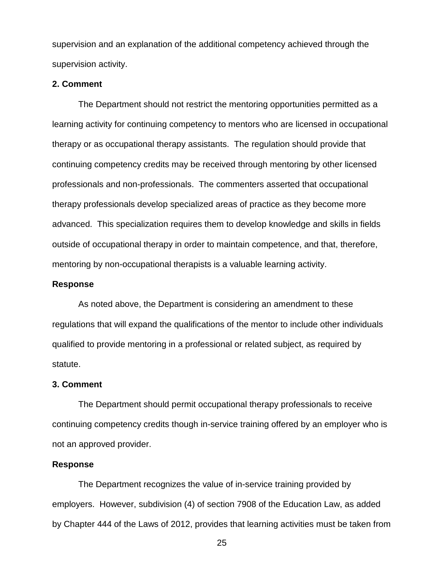supervision and an explanation of the additional competency achieved through the supervision activity.

#### **2. Comment**

The Department should not restrict the mentoring opportunities permitted as a learning activity for continuing competency to mentors who are licensed in occupational therapy or as occupational therapy assistants. The regulation should provide that continuing competency credits may be received through mentoring by other licensed professionals and non-professionals. The commenters asserted that occupational therapy professionals develop specialized areas of practice as they become more advanced. This specialization requires them to develop knowledge and skills in fields outside of occupational therapy in order to maintain competence, and that, therefore, mentoring by non-occupational therapists is a valuable learning activity.

#### **Response**

As noted above, the Department is considering an amendment to these regulations that will expand the qualifications of the mentor to include other individuals qualified to provide mentoring in a professional or related subject, as required by statute.

#### **3. Comment**

The Department should permit occupational therapy professionals to receive continuing competency credits though in-service training offered by an employer who is not an approved provider.

### **Response**

The Department recognizes the value of in-service training provided by employers. However, subdivision (4) of section 7908 of the Education Law, as added by Chapter 444 of the Laws of 2012, provides that learning activities must be taken from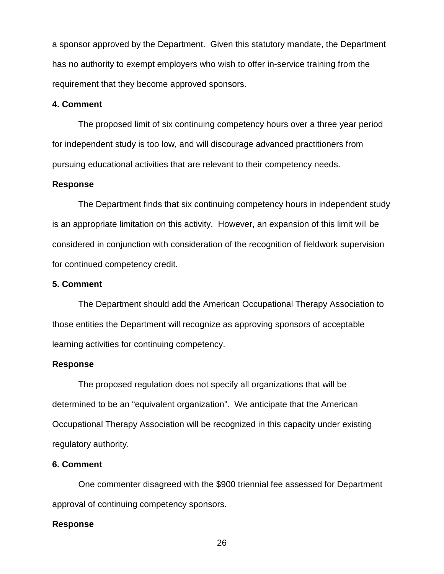a sponsor approved by the Department. Given this statutory mandate, the Department has no authority to exempt employers who wish to offer in-service training from the requirement that they become approved sponsors.

## **4. Comment**

The proposed limit of six continuing competency hours over a three year period for independent study is too low, and will discourage advanced practitioners from pursuing educational activities that are relevant to their competency needs.

### **Response**

The Department finds that six continuing competency hours in independent study is an appropriate limitation on this activity. However, an expansion of this limit will be considered in conjunction with consideration of the recognition of fieldwork supervision for continued competency credit.

### **5. Comment**

The Department should add the American Occupational Therapy Association to those entities the Department will recognize as approving sponsors of acceptable learning activities for continuing competency.

### **Response**

The proposed regulation does not specify all organizations that will be determined to be an "equivalent organization". We anticipate that the American Occupational Therapy Association will be recognized in this capacity under existing regulatory authority.

### **6. Comment**

One commenter disagreed with the \$900 triennial fee assessed for Department approval of continuing competency sponsors.

#### **Response**